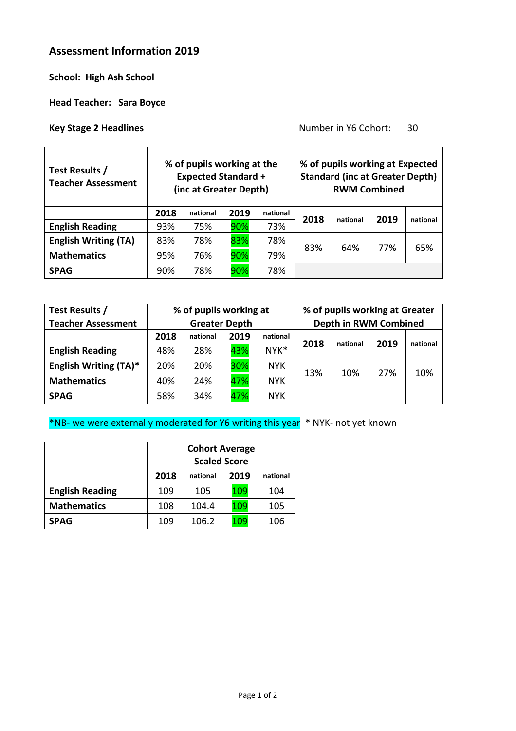# **Assessment Information 2019**

**School: High Ash School**

**Head Teacher: Sara Boyce**

**Key Stage 2 Headlines Key Stage 2 Headlines Number in Y6 Cohort:** 30

| Test Results /<br><b>Teacher Assessment</b> | % of pupils working at the<br><b>Expected Standard +</b><br>(inc at Greater Depth) |          |      |          |      | % of pupils working at Expected<br><b>Standard (inc at Greater Depth)</b> | <b>RWM Combined</b> |          |
|---------------------------------------------|------------------------------------------------------------------------------------|----------|------|----------|------|---------------------------------------------------------------------------|---------------------|----------|
|                                             | 2018                                                                               | national | 2019 | national | 2018 | national                                                                  | 2019                | national |
| <b>English Reading</b>                      | 93%                                                                                | 75%      | 90%  | 73%      |      |                                                                           |                     |          |
| <b>English Writing (TA)</b>                 | 83%                                                                                | 78%      | 83%  | 78%      |      | 64%                                                                       | 77%                 | 65%      |
| <b>Mathematics</b>                          | 95%                                                                                | 76%      | 90%  | 79%      | 83%  |                                                                           |                     |          |
| <b>SPAG</b>                                 | 90%                                                                                | 78%      | 90%  | 78%      |      |                                                                           |                     |          |

| Test Results /               | % of pupils working at |          |      |            |      | % of pupils working at Greater |                       |          |  |
|------------------------------|------------------------|----------|------|------------|------|--------------------------------|-----------------------|----------|--|
| <b>Teacher Assessment</b>    | <b>Greater Depth</b>   |          |      |            |      |                                | Depth in RWM Combined |          |  |
|                              | 2018                   | national | 2019 | national   |      |                                | 2019                  | national |  |
| <b>English Reading</b>       | 48%                    | 28%      | 43%  | NYK*       | 2018 | national                       |                       |          |  |
| <b>English Writing (TA)*</b> | 20%                    | 20%      | 30%  | <b>NYK</b> | 13%  | 10%                            | 27%                   | 10%      |  |
| <b>Mathematics</b>           | 40%                    | 24%      | 47%  | <b>NYK</b> |      |                                |                       |          |  |
| <b>SPAG</b>                  | 58%                    | 34%      | 47%  | <b>NYK</b> |      |                                |                       |          |  |

\*NB- we were externally moderated for Y6 writing this year \* NYK- not yet known

|                        | <b>Cohort Average</b>                |       |     |     |  |  |  |
|------------------------|--------------------------------------|-------|-----|-----|--|--|--|
|                        | <b>Scaled Score</b>                  |       |     |     |  |  |  |
|                        | 2018<br>2019<br>national<br>national |       |     |     |  |  |  |
| <b>English Reading</b> | 109                                  | 105   | 109 | 104 |  |  |  |
| <b>Mathematics</b>     | 108                                  | 104.4 | 109 | 105 |  |  |  |
| <b>SPAG</b>            | 109                                  | 106.2 | 109 | 106 |  |  |  |